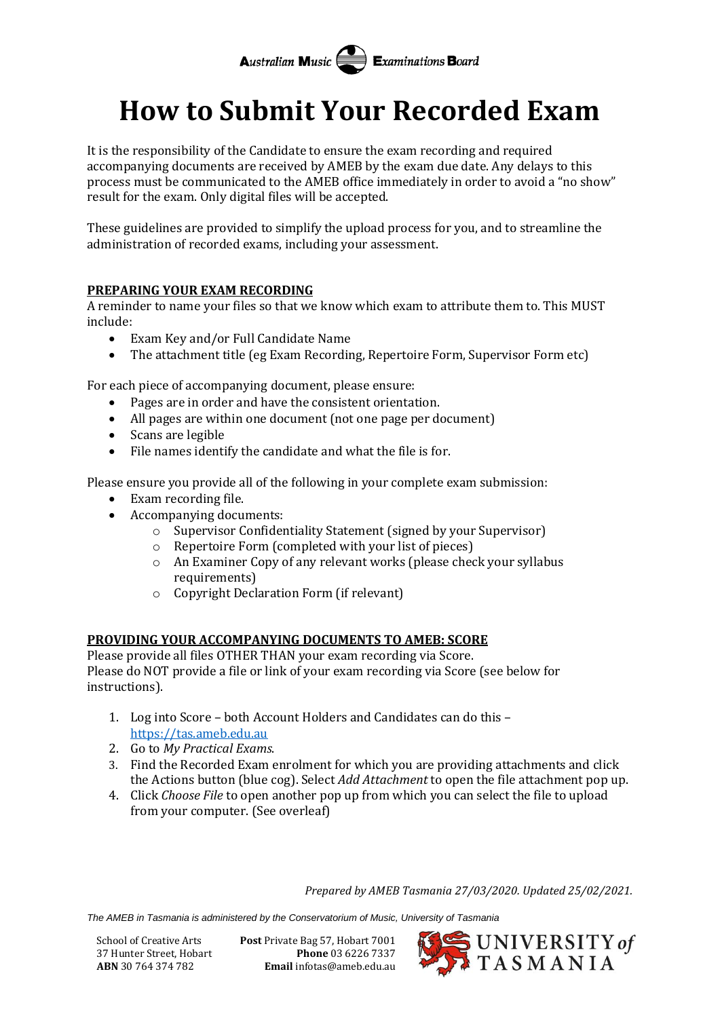**Australian Music Examinations Board** 

## **How to Submit Your Recorded Exam**

It is the responsibility of the Candidate to ensure the exam recording and required accompanying documents are received by AMEB by the exam due date. Any delays to this process must be communicated to the AMEB office immediately in order to avoid a "no show" result for the exam. Only digital files will be accepted.

These guidelines are provided to simplify the upload process for you, and to streamline the administration of recorded exams, including your assessment.

## **PREPARING YOUR EXAM RECORDING**

A reminder to name your files so that we know which exam to attribute them to. This MUST include:

- Exam Key and/or Full Candidate Name
- The attachment title (eg Exam Recording, Repertoire Form, Supervisor Form etc)

For each piece of accompanying document, please ensure:

- Pages are in order and have the consistent orientation.
- All pages are within one document (not one page per document)
- Scans are legible
- File names identify the candidate and what the file is for.

Please ensure you provide all of the following in your complete exam submission:

- Exam recording file.
- Accompanying documents:
	- o Supervisor Confidentiality Statement (signed by your Supervisor)
	- o Repertoire Form (completed with your list of pieces)
	- o An Examiner Copy of any relevant works (please check your syllabus requirements)
	- o Copyright Declaration Form (if relevant)

## **PROVIDING YOUR ACCOMPANYING DOCUMENTS TO AMEB: SCORE**

Please provide all files OTHER THAN your exam recording via Score. Please do NOT provide a file or link of your exam recording via Score (see below for instructions).

- 1. Log into Score both Account Holders and Candidates can do this [https://tas.ameb.edu.au](https://tas.ameb.edu.au/)
- 2. Go to *My Practical Exams*.
- 3. Find the Recorded Exam enrolment for which you are providing attachments and click the Actions button (blue cog). Select *Add Attachment* to open the file attachment pop up.
- 4. Click *Choose File* to open another pop up from which you can select the file to upload from your computer. (See overleaf)

*Prepared by AMEB Tasmania 27/03/2020. Updated 25/02/2021.*

*The AMEB in Tasmania is administered by the Conservatorium of Music, University of Tasmania*